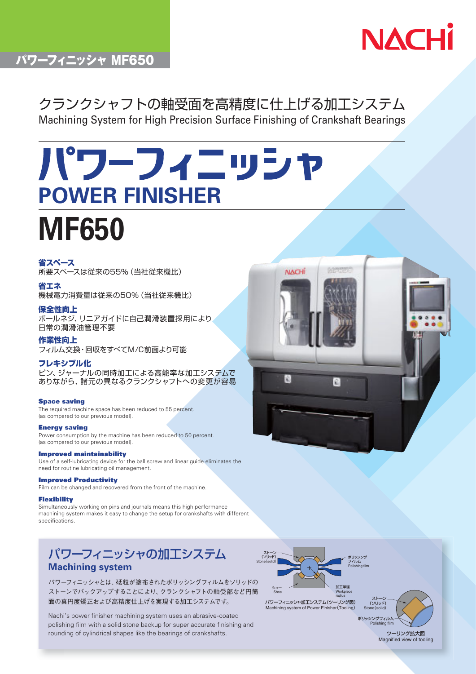

# パワーフィニッシャ MF650

# クランクシャフトの軸受面を高精度に仕上げる加工システム Machining System for High Precision Surface Finishing of Crankshaft Bearings

# パワーフィニッシャ **POWER FINISHER MF650**

### 省スペース

所要スペースは従来の55%(当社従来機比)

## 省エネ

機械電力消費量は従来の50%(当社従来機比)

#### 保全性向上

ボールネジ、リニアガイドに自己潤滑装置採用により 日常の潤滑油管理不要

作業性向上 フィルム交換・回収をすべてM/C前面より可能

#### フレキシブル化

ピン、ジャーナルの同時加工による高能率な加工システムで ありながら、諸元の異なるクランクシャフトへの変更が容易

#### **Space saving**

The required machine space has been reduced to 55 percent. (as compared to our previous model).

#### **Energy saving**

Power consumption by the machine has been reduced to 50 percent. (as compared to our previous model).

#### **Improved maintainability**

Use of a self-lubricating device for the ball screw and linear guide eliminates the need for routine lubricating oil management.

#### **Improved Productivity**

Film can be changed and recovered from the front of the machine.

#### **Flexibility**

Simultaneously working on pins and journals means this high performance machining system makes it easy to change the setup for crankshafts with different specifications.

## パワーフィニッシャの加工システム **Machining system**

パワーフィニッシャとは、砥粒が塗布されたポリッシングフィルムをソリッドの ストーンでバックアップすることにより、クランクシャフトの軸受部など円筒 面の真円度矯正および高精度仕上げを実現する加工システムです。

Nachi's power finisher machining system uses an abrasive-coated polishing film with a solid stone backup for super accurate finishing and rounding of cylindrical shapes like the bearings of crankshafts.





ツーリング拡大図 Magnified view of tooling

ポリッシングフィルム Polish